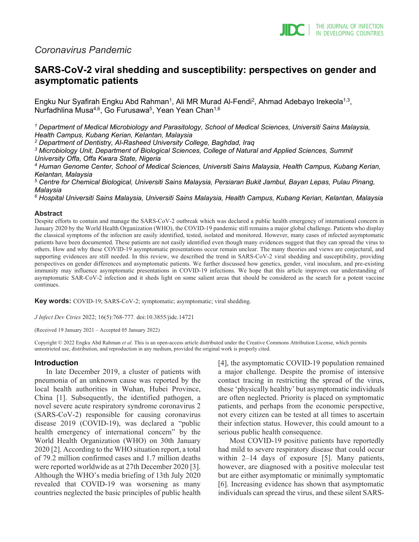

# *Coronavirus Pandemic*

# **SARS-CoV-2 viral shedding and susceptibility: perspectives on gender and asymptomatic patients**

Engku Nur Syafirah Engku Abd Rahman<sup>1</sup>, Ali MR Murad Al-Fendi<sup>2</sup>, Ahmad Adebayo Irekeola<sup>1,3</sup>, Nurfadhlina Musa<sup>4,6</sup>, Go Furusawa<sup>5</sup>, Yean Yean Chan<sup>1,6</sup>

*<sup>1</sup> Department of Medical Microbiology and Parasitology, School of Medical Sciences, Universiti Sains Malaysia, Health Campus, Kubang Kerian, Kelantan, Malaysia*

*<sup>2</sup> Department of Dentistry, Al-Rasheed University College, Baghdad, Iraq*

*<sup>3</sup> Microbiology Unit, Department of Biological Sciences, College of Natural and Applied Sciences, Summit University Offa, Offa Kwara State, Nigeria*

*<sup>4</sup> Human Genome Center, School of Medical Sciences, Universiti Sains Malaysia, Health Campus, Kubang Kerian, Kelantan, Malaysia*

*<sup>5</sup> Centre for Chemical Biological, Universiti Sains Malaysia, Persiaran Bukit Jambul, Bayan Lepas, Pulau Pinang, Malaysia*

*<sup>6</sup> Hospital Universiti Sains Malaysia, Universiti Sains Malaysia, Health Campus, Kubang Kerian, Kelantan, Malaysia*

#### **Abstract**

Despite efforts to contain and manage the SARS-CoV-2 outbreak which was declared a public health emergency of international concern in January 2020 by the World Health Organization (WHO), the COVID-19 pandemic still remains a major global challenge. Patients who display the classical symptoms of the infection are easily identified, tested, isolated and monitored. However, many cases of infected asymptomatic patients have been documented. These patients are not easily identified even though many evidences suggest that they can spread the virus to others. How and why these COVID-19 asymptomatic presentations occur remain unclear. The many theories and views are conjectural, and supporting evidences are still needed. In this review, we described the trend in SARS-CoV-2 viral shedding and susceptibility, providing perspectives on gender differences and asymptomatic patients. We further discussed how genetics, gender, viral inoculum, and pre-existing immunity may influence asymptomatic presentations in COVID-19 infections. We hope that this article improves our understanding of asymptomatic SAR-CoV-2 infection and it sheds light on some salient areas that should be considered as the search for a potent vaccine continues.

**Key words:** COVID-19; SARS-CoV-2; symptomatic; asymptomatic; viral shedding.

*J Infect Dev Ctries* 2022; 16(5):768-777*.* doi:10.3855/jidc.14721

(Received 19 January 2021 – Accepted 05 January 2022)

Copyright © 2022 Engku Abd Rahman *et al*. This is an open-access article distributed under the Creative Commons Attribution License, which permits unrestricted use, distribution, and reproduction in any medium, provided the original work is properly cited.

#### **Introduction**

In late December 2019, a cluster of patients with pneumonia of an unknown cause was reported by the local health authorities in Wuhan, Hubei Province, China [1]. Subsequently, the identified pathogen, a novel severe acute respiratory syndrome coronavirus 2 (SARS-CoV-2) responsible for causing coronavirus disease 2019 (COVID-19), was declared a "public health emergency of international concern" by the World Health Organization (WHO) on 30th January 2020 [2]. According to the WHO situation report, a total of 79.2 million confirmed cases and 1.7 million deaths were reported worldwide as at 27th December 2020 [3]. Although the WHO's media briefing of 13th July 2020 revealed that COVID-19 was worsening as many countries neglected the basic principles of public health [4], the asymptomatic COVID-19 population remained a major challenge. Despite the promise of intensive contact tracing in restricting the spread of the virus, these 'physically healthy' but asymptomatic individuals are often neglected. Priority is placed on symptomatic patients, and perhaps from the economic perspective, not every citizen can be tested at all times to ascertain their infection status. However, this could amount to a serious public health consequence.

Most COVID-19 positive patients have reportedly had mild to severe respiratory disease that could occur within 2–14 days of exposure [5]. Many patients, however, are diagnosed with a positive molecular test but are either asymptomatic or minimally symptomatic [6]. Increasing evidence has shown that asymptomatic individuals can spread the virus, and these silent SARS-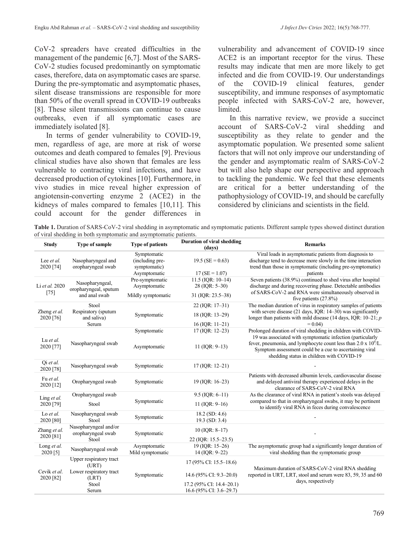CoV-2 spreaders have created difficulties in the management of the pandemic [6,7]. Most of the SARS-CoV-2 studies focused predominantly on symptomatic cases, therefore, data on asymptomatic cases are sparse. During the pre-symptomatic and asymptomatic phases, silent disease transmissions are responsible for more than 50% of the overall spread in COVID-19 outbreaks [8]. These silent transmissions can continue to cause outbreaks, even if all symptomatic cases are immediately isolated [8].

In terms of gender vulnerability to COVID-19, men, regardless of age, are more at risk of worse outcomes and death compared to females [9]. Previous clinical studies have also shown that females are less vulnerable to contracting viral infections, and have decreased production of cytokines [10]. Furthermore, in vivo studies in mice reveal higher expression of angiotensin-converting enzyme 2 (ACE2) in the kidneys of males compared to females [10,11]. This could account for the gender differences in vulnerability and advancement of COVID-19 since ACE2 is an important receptor for the virus. These results may indicate that men are more likely to get infected and die from COVID-19. Our understandings of the COVID-19 clinical features, gender susceptibility, and immune responses of asymptomatic people infected with SARS-CoV-2 are, however, limited.

In this narrative review, we provide a succinct account of SARS-CoV-2 viral shedding and susceptibility as they relate to gender and the asymptomatic population. We presented some salient factors that will not only improve our understanding of the gender and asymptomatic realm of SARS-CoV-2 but will also help shape our perspective and approach to tackling the pandemic. We feel that these elements are critical for a better understanding of the pathophysiology of COVID-19, and should be carefully considered by clinicians and scientists in the field.

**Table 1.** Duration of SARS-CoV-2 viral shedding in asymptomatic and symptomatic patients. Different sample types showed distinct duration of viral shedding in both symptomatic and asymptomatic patients.

| <b>Study</b>                   | Type of sample                                            | <b>Type of patients</b>                        | Duration of viral shedding<br>(days) | <b>Remarks</b>                                                                                                                                                                                       |
|--------------------------------|-----------------------------------------------------------|------------------------------------------------|--------------------------------------|------------------------------------------------------------------------------------------------------------------------------------------------------------------------------------------------------|
| Lee <i>et al.</i><br>2020 [74] | Nasopharyngeal and<br>oropharyngeal swab                  | Symptomatic<br>(including pre-<br>symptomatic) | 19.5 (SE = $0.63$ )                  | Viral loads in asymptomatic patients from diagnosis to<br>discharge tend to decrease more slowly in the time interaction<br>trend than those in symptomatic (including pre-symptomatic)              |
|                                |                                                           | Asymptomatic                                   | $17(SE = 1.07)$                      | patients                                                                                                                                                                                             |
| Li et al. 2020<br>$[75]$       | Nasopharyngeal,<br>oropharyngeal, sputum<br>and anal swab | Pre-symptomatic                                | 11.5 (IOR: 10-14)                    | Seven patients (38.9%) continued to shed virus after hospital                                                                                                                                        |
|                                |                                                           | Asymptomatic<br>Mildly symptomatic             | 28 (IQR: 5-30)<br>31 (IQR: 23.5–38)  | discharge and during recovering phase. Detectable antibodies<br>of SARS-CoV-2 and RNA were simultaneously observed in                                                                                |
|                                |                                                           |                                                |                                      | five patients (27.8%)                                                                                                                                                                                |
| Zheng et al.<br>2020 [76]      | Stool<br>Respiratory (sputum<br>and saliva)               | Symptomatic                                    | $22$ (IQR: 17-31)<br>18 (IQR: 13-29) | The median duration of virus in respiratory samples of patients<br>with severe disease (21 days, IQR: 14-30) was significantly<br>longer than patients with mild disease (14 days, IQR: $10-21$ ; p  |
|                                | Serum                                                     |                                                | 16 (IQR: $11-21$ )                   | $= 0.04$                                                                                                                                                                                             |
| Lu et al.<br>2020 [77]         | Nasopharyngeal swab                                       | Symptomatic                                    | 17 (IQR: 12-23)                      | Prolonged duration of viral shedding in children with COVID-<br>19 was associated with symptomatic infection (particularly<br>fever, pneumonia, and lymphocyte count less than $2.0 \times 10^9$ /L. |
|                                |                                                           | Asymptomatic                                   | 11 ( $IQR: 9-13$ )                   | Symptom assessment could be a cue to ascertaining viral<br>shedding status in children with COVID-19                                                                                                 |
| Qi et al.<br>2020 [78]         | Nasopharyngeal swab                                       | Symptomatic                                    | $17$ (IQR: $12-21$ )                 |                                                                                                                                                                                                      |
| Fu et al.<br>2020 [12]         | Oropharyngeal swab                                        | Symptomatic                                    | 19 (IOR: 16-23)                      | Patients with decreased albumin levels, cardiovascular disease<br>and delayed antiviral therapy experienced delays in the<br>clearance of SARS-CoV-2 viral RNA                                       |
| Ling et al.<br>2020 [79]       | Oropharyngeal swab                                        | Symptomatic                                    | $9.5$ (IQR: 6-11)                    | As the clearance of viral RNA in patient's stools was delayed                                                                                                                                        |
|                                | Stool                                                     |                                                | 11 ( $IQR: 9-16$ )                   | compared to that in oropharyngeal swabs, it may be pertinent<br>to identify viral RNA in feces during convalescence                                                                                  |
| Lo et al.<br>2020 [80]         | Nasopharyngeal swab<br>Stool                              | Symptomatic                                    | $18.2$ (SD: 4.6)<br>19.3 (SD: 3.4)   |                                                                                                                                                                                                      |
| Zhang et al.<br>2020 [81]      | Nasopharyngeal and/or<br>oropharyngeal swab<br>Stool      | Symptomatic                                    | $10$ (IQR: 8-17)                     |                                                                                                                                                                                                      |
|                                |                                                           |                                                | 22 (IQR: 15.5–23.5)                  |                                                                                                                                                                                                      |
| Long et al.<br>2020 [5]        | Nasopharyngeal swab                                       | Asymptomatic<br>Mild symptomatic               | 19 (IOR: 15-26)<br>14 (IQR: 9-22)    | The asymptomatic group had a significantly longer duration of<br>viral shedding than the symptomatic group                                                                                           |
| Cevik et al.<br>2020 [82]      | Upper respiratory tract<br>(URT)                          | Symptomatic                                    | 17 (95% CI: 15.5–18.6)               |                                                                                                                                                                                                      |
|                                | Lower respiratory tract<br>(LRT)                          |                                                | 14.6 (95% CI: 9.3–20.0)              | Maximum duration of SARS-CoV-2 viral RNA shedding<br>reported in URT, LRT, stool and serum were 83, 59, 35 and 60<br>days, respectively                                                              |
|                                | Stool                                                     |                                                | 17.2 (95% CI: 14.4-20.1)             |                                                                                                                                                                                                      |
|                                | Serum                                                     |                                                | 16.6 (95% CI: 3.6–29.7)              |                                                                                                                                                                                                      |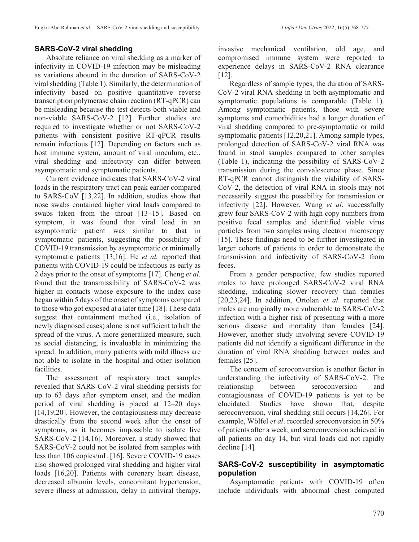### **SARS-CoV-2 viral shedding**

Absolute reliance on viral shedding as a marker of infectivity in COVID-19 infection may be misleading as variations abound in the duration of SARS-CoV-2 viral shedding (Table 1). Similarly, the determination of infectivity based on positive quantitative reverse transcription polymerase chain reaction (RT-qPCR) can be misleading because the test detects both viable and non-viable SARS-CoV-2 [12]. Further studies are required to investigate whether or not SARS-CoV-2 patients with consistent positive RT-qPCR results remain infectious [12]. Depending on factors such as host immune system, amount of viral inoculum, etc., viral shedding and infectivity can differ between asymptomatic and symptomatic patients.

Current evidence indicates that SARS-CoV-2 viral loads in the respiratory tract can peak earlier compared to SARS-CoV [13,22]. In addition, studies show that nose swabs contained higher viral loads compared to swabs taken from the throat [13–15]. Based on symptom, it was found that viral load in an asymptomatic patient was similar to that in symptomatic patients, suggesting the possibility of COVID-19 transmission by asymptomatic or minimally symptomatic patients [13,16]. He *et al.* reported that patients with COVID-19 could be infectious as early as 2 days prior to the onset of symptoms [17]. Cheng *et al.* found that the transmissibility of SARS-CoV-2 was higher in contacts whose exposure to the index case began within 5 days of the onset of symptoms compared to those who got exposed at a later time [18]. These data suggest that containment method (i.e., isolation of newly diagnosed cases) alone is not sufficient to halt the spread of the virus. A more generalized measure, such as social distancing, is invaluable in minimizing the spread. In addition, many patients with mild illness are not able to isolate in the hospital and other isolation facilities.

The assessment of respiratory tract samples revealed that SARS-CoV-2 viral shedding persists for up to 63 days after symptom onset, and the median period of viral shedding is placed at 12–20 days [14,19,20]. However, the contagiousness may decrease drastically from the second week after the onset of symptoms, as it becomes impossible to isolate live SARS-CoV-2 [14,16]. Moreover, a study showed that SARS-CoV-2 could not be isolated from samples with less than 106 copies/mL [16]. Severe COVID-19 cases also showed prolonged viral shedding and higher viral loads [16,20]. Patients with coronary heart disease, decreased albumin levels, concomitant hypertension, severe illness at admission, delay in antiviral therapy,

invasive mechanical ventilation, old age, and compromised immune system were reported to experience delays in SARS-CoV-2 RNA clearance [12].

Regardless of sample types, the duration of SARS-CoV-2 viral RNA shedding in both asymptomatic and symptomatic populations is comparable (Table 1). Among symptomatic patients, those with severe symptoms and comorbidities had a longer duration of viral shedding compared to pre-symptomatic or mild symptomatic patients [12,20,21]. Among sample types, prolonged detection of SARS-CoV-2 viral RNA was found in stool samples compared to other samples (Table 1), indicating the possibility of SARS-CoV-2 transmission during the convalescence phase. Since RT-qPCR cannot distinguish the viability of SARS-CoV-2, the detection of viral RNA in stools may not necessarily suggest the possibility for transmission or infectivity [22]. However, Wang *et al*. successfully grew four SARS-CoV-2 with high copy numbers from positive fecal samples and identified viable virus particles from two samples using electron microscopy [15]. These findings need to be further investigated in larger cohorts of patients in order to demonstrate the transmission and infectivity of SARS-CoV-2 from feces.

From a gender perspective, few studies reported males to have prolonged SARS-CoV-2 viral RNA shedding, indicating slower recovery than females [20,23,24]. In addition, Ortolan *et al*. reported that males are marginally more vulnerable to SARS-CoV-2 infection with a higher risk of presenting with a more serious disease and mortality than females [24]. However, another study involving severe COVID-19 patients did not identify a significant difference in the duration of viral RNA shedding between males and females [25].

The concern of seroconversion is another factor in understanding the infectivity of SARS-CoV-2. The relationship between seroconversion and contagiousness of COVID-19 patients is yet to be elucidated. Studies have shown that, despite seroconversion, viral shedding still occurs [14,26]. For example, Wölfel *et al*. recorded seroconversion in 50% of patients after a week, and seroconversion achieved in all patients on day 14, but viral loads did not rapidly decline [14].

# **SARS-CoV-2 susceptibility in asymptomatic population**

Asymptomatic patients with COVID-19 often include individuals with abnormal chest computed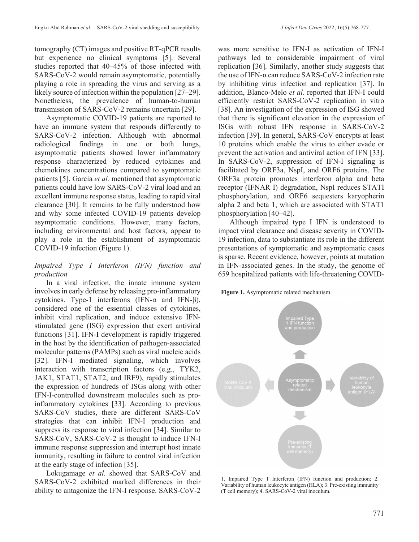tomography (CT) images and positive RT-qPCR results but experience no clinical symptoms [5]. Several studies reported that 40–45% of those infected with SARS-CoV-2 would remain asymptomatic, potentially playing a role in spreading the virus and serving as a likely source of infection within the population [27–29]. Nonetheless, the prevalence of human-to-human transmission of SARS-CoV-2 remains uncertain [29].

Asymptomatic COVID-19 patients are reported to have an immune system that responds differently to SARS-CoV-2 infection. Although with abnormal radiological findings in one or both lungs, asymptomatic patients showed lower inflammatory response characterized by reduced cytokines and chemokines concentrations compared to symptomatic patients [5]. García *et al.* mentioned that asymptomatic patients could have low SARS-CoV-2 viral load and an excellent immune response status, leading to rapid viral clearance [30]. It remains to be fully understood how and why some infected COVID-19 patients develop asymptomatic conditions. However, many factors, including environmental and host factors, appear to play a role in the establishment of asymptomatic COVID-19 infection (Figure 1).

### *Impaired Type I Interferon (IFN) function and production*

In a viral infection, the innate immune system involves in early defense by releasing pro-inflammatory cytokines. Type-1 interferons (IFN-α and IFN-β), considered one of the essential classes of cytokines, inhibit viral replication, and induce extensive IFNstimulated gene (ISG) expression that exert antiviral functions [31]. IFN-I development is rapidly triggered in the host by the identification of pathogen-associated molecular patterns (PAMPs) such as viral nucleic acids [32]. IFN-I mediated signaling, which involves interaction with transcription factors (e.g., TYK2, JAK1, STAT1, STAT2, and IRF9), rapidly stimulates the expression of hundreds of ISGs along with other IFN-I-controlled downstream molecules such as proinflammatory cytokines [33]. According to previous SARS-CoV studies, there are different SARS-CoV strategies that can inhibit IFN-I production and suppress its response to viral infection [34]. Similar to SARS-CoV, SARS-CoV-2 is thought to induce IFN-I immune response suppression and interrupt host innate immunity, resulting in failure to control viral infection at the early stage of infection [35].

Lokugamage *et al.* showed that SARS-CoV and SARS-CoV-2 exhibited marked differences in their ability to antagonize the IFN-I response. SARS-CoV-2 was more sensitive to IFN-I as activation of IFN-I pathways led to considerable impairment of viral replication [36]. Similarly, another study suggests that the use of IFN-α can reduce SARS-CoV-2 infection rate by inhibiting virus infection and replication [37]. In addition, Blanco-Melo *et al.* reported that IFN-I could efficiently restrict SARS-CoV-2 replication in vitro [38]. An investigation of the expression of ISG showed that there is significant elevation in the expression of ISGs with robust IFN response in SARS-CoV-2 infection [39]. In general, SARS-CoV encrypts at least 10 proteins which enable the virus to either evade or prevent the activation and antiviral action of IFN [33]. In SARS-CoV-2, suppression of IFN-I signaling is facilitated by ORF3a, NspI, and ORF6 proteins. The ORF3a protein promotes interferon alpha and beta receptor (IFNAR I) degradation, NspI reduces STATI phosphorylation, and ORF6 sequesters karyopherin alpha 2 and beta 1, which are associated with STAT1 phosphorylation [40–42].

Although impaired type I IFN is understood to impact viral clearance and disease severity in COVID-19 infection, data to substantiate its role in the different presentations of symptomatic and asymptomatic cases is sparse. Recent evidence, however, points at mutation in IFN-associated genes. In the study, the genome of 659 hospitalized patients with life-threatening COVID-

**Figure 1.** Asymptomatic related mechanism.



1. Impaired Type 1 Interferon (IFN) function and production; 2. Variability of human leukocyte antigen (HLA); 3. Pre-existing immunity (T cell memory); 4. SARS-CoV-2 viral inoculum.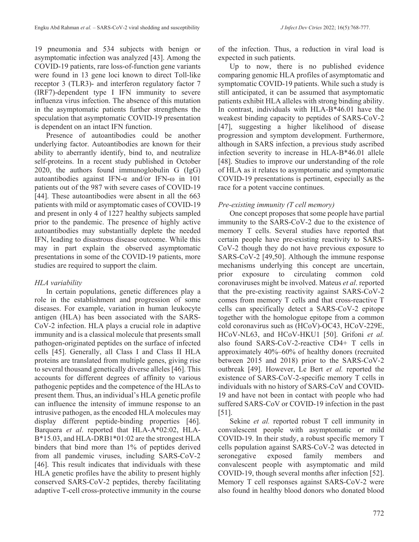19 pneumonia and 534 subjects with benign or asymptomatic infection was analyzed [43]. Among the COVID-19 patients, rare loss-of-function gene variants were found in 13 gene loci known to direct Toll-like receptor 3 (TLR3)- and interferon regulatory factor 7 (IRF7)-dependent type I IFN immunity to severe influenza virus infection. The absence of this mutation in the asymptomatic patients further strengthens the speculation that asymptomatic COVID-19 presentation is dependent on an intact IFN function.

Presence of autoantibodies could be another underlying factor. Autoantibodies are known for their ability to aberrantly identify, bind to, and neutralize self-proteins. In a recent study published in October 2020, the authors found immunoglobulin G (IgG) autoantibodies against IFN-α and/or IFN-ω in 101 patients out of the 987 with severe cases of COVID-19 [44]. These autoantibodies were absent in all the 663 patients with mild or asymptomatic cases of COVID-19 and present in only 4 of 1227 healthy subjects sampled prior to the pandemic. The presence of highly active autoantibodies may substantially deplete the needed IFN, leading to disastrous disease outcome. While this may in part explain the observed asymptomatic presentations in some of the COVID-19 patients, more studies are required to support the claim.

# *HLA variability*

In certain populations, genetic differences play a role in the establishment and progression of some diseases. For example, variation in human leukocyte antigen (HLA) has been associated with the SARS-CoV-2 infection. HLA plays a crucial role in adaptive immunity and is a classical molecule that presents small pathogen-originated peptides on the surface of infected cells [45]. Generally, all Class I and Class II HLA proteins are translated from multiple genes, giving rise to several thousand genetically diverse alleles [46]. This accounts for different degrees of affinity to various pathogenic peptides and the competence of the HLAs to present them. Thus, an individual's HLA genetic profile can influence the intensity of immune response to an intrusive pathogen, as the encoded HLA molecules may display different peptide-binding properties [46]. Barquera *et al*. reported that HLA-A\*02:02, HLA-B\*15.03, and HLA-DRB1\*01:02 are the strongest HLA binders that bind more than 1% of peptides derived from all pandemic viruses, including SARS-CoV-2 [46]. This result indicates that individuals with these HLA genetic profiles have the ability to present highly conserved SARS-CoV-2 peptides, thereby facilitating adaptive T-cell cross-protective immunity in the course

of the infection. Thus, a reduction in viral load is expected in such patients.

Up to now, there is no published evidence comparing genomic HLA profiles of asymptomatic and symptomatic COVID-19 patients. While such a study is still anticipated, it can be assumed that asymptomatic patients exhibit HLA alleles with strong binding ability. In contrast, individuals with HLA-B\*46.01 have the weakest binding capacity to peptides of SARS-CoV-2 [47], suggesting a higher likelihood of disease progression and symptom development. Furthermore, although in SARS infection, a previous study ascribed infection severity to increase in HLA-B\*46.01 allele [48]. Studies to improve our understanding of the role of HLA as it relates to asymptomatic and symptomatic COVID-19 presentations is pertinent, especially as the race for a potent vaccine continues.

### *Pre-existing immunity (T cell memory)*

One concept proposes that some people have partial immunity to the SARS-CoV-2 due to the existence of memory T cells. Several studies have reported that certain people have pre-existing reactivity to SARS-CoV-2 though they do not have previous exposure to SARS-CoV-2 [49,50]. Although the immune response mechanisms underlying this concept are uncertain, prior exposure to circulating common cold coronaviruses might be involved. Mateus *et al*. reported that the pre-existing reactivity against SARS-CoV-2 comes from memory T cells and that cross-reactive T cells can specifically detect a SARS-CoV-2 epitope together with the homologue epitope from a common cold coronavirus such as (HCoV)-OC43, HCoV-229E, HCoV-NL63, and HCoV-HKU1 [50]. Grifoni *et al.* also found SARS-CoV-2-reactive CD4+ T cells in approximately 40%–60% of healthy donors (recruited between 2015 and 2018) prior to the SARS-CoV-2 outbreak [49]. However, Le Bert *et al.* reported the existence of SARS-CoV-2-specific memory T cells in individuals with no history of SARS-CoV and COVID-19 and have not been in contact with people who had suffered SARS-CoV or COVID-19 infection in the past [51].

Sekine *et al.* reported robust T cell immunity in convalescent people with asymptomatic or mild COVID-19. In their study, a robust specific memory T cells population against SARS-CoV-2 was detected in seronegative exposed family members and convalescent people with asymptomatic and mild COVID-19, though several months after infection [52]. Memory T cell responses against SARS-CoV-2 were also found in healthy blood donors who donated blood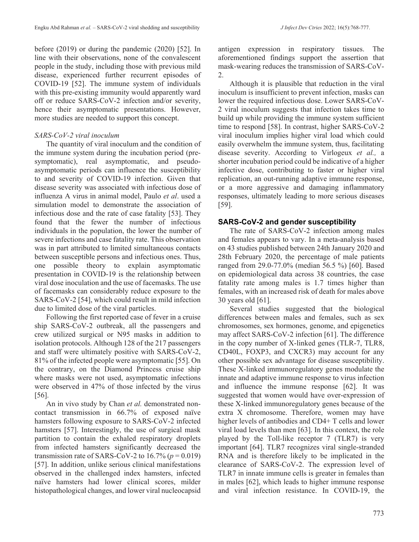before (2019) or during the pandemic (2020) [52]. In line with their observations, none of the convalescent people in the study, including those with previous mild disease, experienced further recurrent episodes of COVID-19 [52]. The immune system of individuals with this pre-existing immunity would apparently ward off or reduce SARS-CoV-2 infection and/or severity, hence their asymptomatic presentations. However, more studies are needed to support this concept.

# *SARS-CoV-2 viral inoculum*

The quantity of viral inoculum and the condition of the immune system during the incubation period (presymptomatic), real asymptomatic, and pseudoasymptomatic periods can influence the susceptibility to and severity of COVID-19 infection. Given that disease severity was associated with infectious dose of influenza A virus in animal model, Paulo *et al*. used a simulation model to demonstrate the association of infectious dose and the rate of case fatality [53]. They found that the fewer the number of infectious individuals in the population, the lower the number of severe infections and case fatality rate. This observation was in part attributed to limited simultaneous contacts between susceptible persons and infectious ones. Thus, one possible theory to explain asymptomatic presentation in COVID-19 is the relationship between viral dose inoculation and the use of facemasks. The use of facemasks can considerably reduce exposure to the SARS-CoV-2 [54], which could result in mild infection due to limited dose of the viral particles.

Following the first reported case of fever in a cruise ship SARS-CoV-2 outbreak, all the passengers and crew utilized surgical or N95 masks in addition to isolation protocols. Although 128 of the 217 passengers and staff were ultimately positive with SARS-CoV-2, 81% of the infected people were asymptomatic [55]. On the contrary, on the Diamond Princess cruise ship where masks were not used, asymptomatic infections were observed in 47% of those infected by the virus [56].

An in vivo study by Chan *et al.* demonstrated noncontact transmission in 66.7% of exposed naïve hamsters following exposure to SARS-CoV-2 infected hamsters [57]. Interestingly, the use of surgical mask partition to contain the exhaled respiratory droplets from infected hamsters significantly decreased the transmission rate of SARS-CoV-2 to  $16.7\%$  ( $p = 0.019$ ) [57]. In addition, unlike serious clinical manifestations observed in the challenged index hamsters, infected naïve hamsters had lower clinical scores, milder histopathological changes, and lower viral nucleocapsid antigen expression in respiratory tissues. The aforementioned findings support the assertion that mask-wearing reduces the transmission of SARS-CoV-2.

Although it is plausible that reduction in the viral inoculum is insufficient to prevent infection, masks can lower the required infectious dose. Lower SARS-CoV-2 viral inoculum suggests that infection takes time to build up while providing the immune system sufficient time to respond [58]. In contrast, higher SARS-CoV-2 viral inoculum implies higher viral load which could easily overwhelm the immune system, thus, facilitating disease severity. According to Virlogeux *et al.,* a shorter incubation period could be indicative of a higher infective dose, contributing to faster or higher viral replication, an out-running adaptive immune response, or a more aggressive and damaging inflammatory responses, ultimately leading to more serious diseases [59].

# **SARS-CoV-2 and gender susceptibility**

The rate of SARS-CoV-2 infection among males and females appears to vary. In a meta-analysis based on 43 studies published between 24th January 2020 and 28th February 2020, the percentage of male patients ranged from 29.0-77.0% (median 56.5 %) [60]. Based on epidemiological data across 38 countries, the case fatality rate among males is 1.7 times higher than females, with an increased risk of death for males above 30 years old [61].

Several studies suggested that the biological differences between males and females, such as sex chromosomes, sex hormones, genome, and epigenetics may affect SARS-CoV-2 infection [61]. The difference in the copy number of X-linked genes (TLR-7, TLR8, CD40L, FOXP3, and CXCR3) may account for any other possible sex advantage for disease susceptibility. These X-linked immunoregulatory genes modulate the innate and adaptive immune response to virus infection and influence the immune response [62]. It was suggested that women would have over-expression of these X-linked immunoregulatory genes because of the extra X chromosome. Therefore, women may have higher levels of antibodies and CD4+ T cells and lower viral load levels than men [63]. In this context, the role played by the Toll-like receptor 7 (TLR7) is very important [64]. TLR7 recognizes viral single-stranded RNA and is therefore likely to be implicated in the clearance of SARS-CoV-2. The expression level of TLR7 in innate immune cells is greater in females than in males [62], which leads to higher immune response and viral infection resistance. In COVID-19, the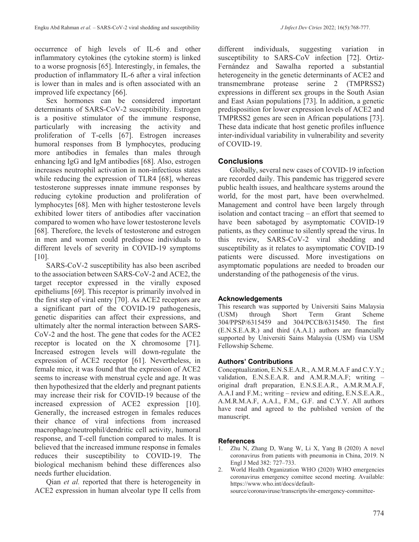occurrence of high levels of IL-6 and other inflammatory cytokines (the cytokine storm) is linked to a worse prognosis [65]. Interestingly, in females, the production of inflammatory IL-6 after a viral infection is lower than in males and is often associated with an improved life expectancy [66].

Sex hormones can be considered important determinants of SARS-CoV-2 susceptibility. Estrogen is a positive stimulator of the immune response, particularly with increasing the activity and proliferation of T-cells [67]. Estrogen increases humoral responses from B lymphocytes, producing more antibodies in females than males through enhancing IgG and IgM antibodies [68]. Also, estrogen increases neutrophil activation in non-infectious states while reducing the expression of TLR4 [68], whereas testosterone suppresses innate immune responses by reducing cytokine production and proliferation of lymphocytes [68]. Men with higher testosterone levels exhibited lower titers of antibodies after vaccination compared to women who have lower testosterone levels [68]. Therefore, the levels of testosterone and estrogen in men and women could predispose individuals to different levels of severity in COVID-19 symptoms [10].

SARS-CoV-2 susceptibility has also been ascribed to the association between SARS-CoV-2 and ACE2, the target receptor expressed in the virally exposed epitheliums [69]. This receptor is primarily involved in the first step of viral entry [70]. As ACE2 receptors are a significant part of the COVID-19 pathogenesis, genetic disparities can affect their expressions, and ultimately alter the normal interaction between SARS-CoV-2 and the host. The gene that codes for the ACE2 receptor is located on the X chromosome [71]. Increased estrogen levels will down-regulate the expression of ACE2 receptor [61]. Nevertheless, in female mice, it was found that the expression of ACE2 seems to increase with menstrual cycle and age. It was then hypothesized that the elderly and pregnant patients may increase their risk for COVID-19 because of the increased expression of ACE2 expression [10]. Generally, the increased estrogen in females reduces their chance of viral infections from increased macrophage/neutrophil/dendritic cell activity, humoral response, and T-cell function compared to males. It is believed that the increased immune response in females reduces their susceptibility to COVID-19. The biological mechanism behind these differences also needs further elucidation.

Qian *et al.* reported that there is heterogeneity in ACE2 expression in human alveolar type II cells from

different individuals, suggesting variation in susceptibility to SARS-CoV infection [72]. Ortiz-Fernández and Sawalha reported a substantial heterogeneity in the genetic determinants of ACE2 and transmembrane protease serine 2 (TMPRSS2) expressions in different sex groups in the South Asian and East Asian populations [73]. In addition, a genetic predisposition for lower expression levels of ACE2 and TMPRSS2 genes are seen in African populations [73]. These data indicate that host genetic profiles influence inter-individual variability in vulnerability and severity of COVID-19.

# **Conclusions**

Globally, several new cases of COVID-19 infection are recorded daily. This pandemic has triggered severe public health issues, and healthcare systems around the world, for the most part, have been overwhelmed. Management and control have been largely through isolation and contact tracing – an effort that seemed to have been sabotaged by asymptomatic COVID-19 patients, as they continue to silently spread the virus. In this review, SARS-CoV-2 viral shedding and susceptibility as it relates to asymptomatic COVID-19 patients were discussed. More investigations on asymptomatic populations are needed to broaden our understanding of the pathogenesis of the virus.

# **Acknowledgements**

This research was supported by Universiti Sains Malaysia (USM) through Short Term Grant Scheme 304/PPSP/6315459 and 304/PCCB/6315450. The first (E.N.S.E.A.R.) and third (A.A.I.) authors are financially supported by Universiti Sains Malaysia (USM) via USM Fellowship Scheme.

# **Authors' Contributions**

Conceptualization, E.N.S.E.A.R., A.M.R.M.A.F and C.Y.Y.; validation, E.N.S.E.A.R. and A.M.R.M.A.F; writing – original draft preparation, E.N.S.E.A.R., A.M.R.M.A.F, A.A.I and F.M.; writing – review and editing, E.N.S.E.A.R., A.M.R.M.A.F, A.A.I., F.M., G.F. and C.Y.Y. All authors have read and agreed to the published version of the manuscript.

#### **References**

- 1. Zhu N, Zhang D, Wang W, Li X, Yang B (2020) A novel coronavirus from patients with pneumonia in China, 2019. N Engl J Med 382: 727–733.
- 2. World Health Organization WHO (2020) WHO emergencies coronavirus emergency comittee second meeting. Available: https://www.who.int/docs/defaultsource/coronaviruse/transcripts/ihr-emergency-committee-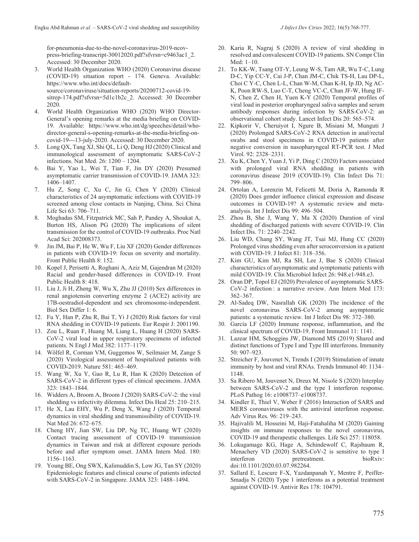for-pneumonia-due-to-the-novel-coronavirus-2019-ncovpress-briefing-transcript-30012020.pdf?sfvrsn=c9463ac1\_2. Accessed: 30 December 2020.

- 3. World Health Organization WHO (2020) Coronavirus disease (COVID-19) situation report - 174. Geneva. Available: https://www.who.int/docs/defaultsource/coronaviruse/situation-reports/20200712-covid-19 sitrep-174.pdf?sfvrsn=5d1c1b2c 2. Accessed: 30 December 2020.
- 4. World Health Organization WHO (2020) WHO Director-General's opening remarks at the media briefing on COVID-19. Available: https://www.who.int/dg/speeches/detail/whodirector-general-s-opening-remarks-at-the-media-briefing-oncovid-19---13-july-2020. Accessed: 30 December 2020.
- 5. Long QX, Tang XJ, Shi QL, Li Q, Deng HJ (2020) Clinical and immunological assessment of asymptomatic SARS-CoV-2 infections. Nat Med. 26: 1200 – 1204.
- 6. Bai Y, Yao L, Wei T, Tian F, Jin DY (2020) Presumed asymptomatic carrier transmission of COVID-19. JAMA 323: 1406–1407.
- 7. Hu Z, Song C, Xu C, Jin G, Chen Y (2020) Clinical characteristics of 24 asymptomatic infections with COVID-19 screened among close contacts in Nanjing, China. Sci China Life Sci 63: 706–711.
- 8. Moghadas SM, Fitzpatrick MC, Sah P, Pandey A, Shoukat A, Burton HS, Alison PG (2020) The implications of silent transmission for the control of COVID-19 outbreaks. Proc Natl Acad Sci: 202008373.
- 9. Jin JM, Bai P, He W, Wu F, Liu XF (2020) Gender differences in patients with COVID-19: focus on severity and mortality. Front Public Health 8: 152.
- 10. Kopel J, Perisetti A, Roghani A, Aziz M, Gajendran M (2020) Racial and gender-based differences in COVID-19. Front Public Health 8: 418.
- 11. Liu J, Ji H, Zheng W, Wu X, Zhu JJ (2010) Sex differences in renal angiotensin converting enzyme 2 (ACE2) activity are 17B-oestradiol-dependent and sex chromosome-independent. Biol Sex Differ 1: 6.
- 12. Fu Y, Han P, Zhu R, Bai T, Yi J (2020) Risk factors for viral RNA shedding in COVID-19 patients. Eur Respir J: 2001190.
- 13. Zou L, Ruan F, Huang M, Liang L, Huang H (2020) SARS-CoV-2 viral load in upper respiratory specimens of infected patients. N Engl J Med 382: 1177–1179.
- 14. Wölfel R, Corman VM, Guggemos W, Seilmaier M, Zange S (2020) Virological assessment of hospitalized patients with COVID-2019. Nature 581: 465–469.
- 15. Wang W, Xu Y, Gao R, Lu R, Han K (2020) Detection of SARS-CoV-2 in different types of clinical specimens. JAMA 323: 1843–1844.
- 16. Widders A, Broom A, Broom J (2020) SARS-CoV-2: the viral shedding vs infectivity dilemma. Infect Dis Heal 25: 210–215.
- 17. He X, Lau EHY, Wu P, Deng X, Wang J (2020) Temporal dynamics in viral shedding and transmissibility of COVID-19. Nat Med 26: 672–675.
- 18. Cheng HY, Jian SW, Liu DP, Ng TC, Huang WT (2020) Contact tracing assessment of COVID-19 transmission dynamics in Taiwan and risk at different exposure periods before and after symptom onset. JAMA Intern Med. 180: 1156–1163.
- 19. Young BE, Ong SWX, Kalimuddin S, Low JG, Tan SY (2020) Epidemiologic features and clinical course of patients infected with SARS-CoV-2 in Singapore. JAMA 323: 1488–1494.
- 20. Karia R, Nagraj S (2020) A review of viral shedding in resolved and convalescent COVID-19 patients. SN Compr Clin Med: 1–10.
- 21. To KK-W, Tsang OT-Y, Leung W-S, Tam AR, Wu T-C, Lung D-C, Yip CC-Y, Cai J-P, Chan JM-C, Chik TS-H, Lau DP-L, Choi C Y-C, Chen L-L, Chan W-M, Chan K-H, Ip JD, Ng AC-K, Poon RW-S, Luo C-T, Cheng VC-C, Chan JF-W, Hung IF-N, Chen Z, Chen H, Yuen K-Y (2020) Temporal profiles of viral load in posterior oropharyngeal saliva samples and serum antibody responses during infection by SARS-CoV-2: an observational cohort study. Lancet Infect Dis 20: 565–574.
- 22. Kipkorir V, Cheruiyot I, Ngure B, Misiani M, Munguti J (2020) Prolonged SARS-CoV-2 RNA detection in anal/rectal swabs and stool specimens in COVID-19 patients after negative conversion in nasopharyngeal RT-PCR test. J Med Virol. 92: 2328–2331.
- 23. Xu K, Chen Y, Yuan J, Yi P, Ding C (2020) Factors associated with prolonged viral RNA shedding in patients with coronavirus disease 2019 (COVID-19). Clin Infect Dis 71: 799–806.
- 24. Ortolan A, Lorenzin M, Felicetti M, Doria A, Ramonda R (2020) Does gender influence clinical expression and disease outcomes in COVID-19? A systematic review and metaanalysis. Int J Infect Dis 99: 496–504.
- 25. Zhou B, She J, Wang Y, Ma X (2020) Duration of viral shedding of discharged patients with severe COVID-19. Clin Infect Dis. 71: 2240–2242.
- 26. Liu WD, Chang SY, Wang JT, Tsai MJ, Hung CC (2020) Prolonged virus shedding even after seroconversion in a patient with COVID-19. J Infect 81: 318–356.
- 27. Kim GU, Kim MJ, Ra SH, Lee J, Bae S (2020) Clinical characteristics of asymptomatic and symptomatic patients with mild COVID-19. Clin Microbiol Infect 26: 948.e1-948.e3.
- 28. Oran DP, Topol EJ (2020) Prevalence of asymptomatic SARS-CoV-2 infection : a narrative review. Ann Intern Med 173: 362–367.
- 29. Al-Sadeq DW, Nasrallah GK (2020) The incidence of the novel coronavirus SARS-CoV-2 among asymptomatic patients: a systematic review. Int J Infect Dis 98: 372–380.
- 30. García LF (2020) Immune response, inflammation, and the clinical spectrum of COVID-19. Front Immunol 11: 1141.
- 31. Lazear HM, Schoggins JW, Diamond MS (2019) Shared and distinct functions of Type I and Type III interferons. Immunity 50: 907–923.
- 32. Streicher F, Jouvenet N, Trends I (2019) Stimulation of innate immunity by host and viral RNAs. Trends Immunol 40: 1134– 1148.
- 33. Sa Ribero M, Jouvenet N, Dreux M, Nisole S (2020) Interplay between SARS-CoV-2 and the type I interferon response. PLoS Pathog 16: e1008737–e1008737.
- 34. Kindler E, Thiel V, Weber F (2016) Interaction of SARS and MERS coronaviruses with the antiviral interferon response. Adv Virus Res. 96: 219–243.
- 35. Hajivalili M, Hosseini M, Haji-Fatahaliha M (2020) Gaining insights on immune responses to the novel coronavirus, COVID-19 and therapeutic challenges. Life Sci 257: 118058.
- 36. Lokugamage KG, Hage A, Schindewolf C, Rajsbaum R, Menachery VD (2020) SARS-CoV-2 is sensitive to type I interferon pretreatment. bioRxiv: doi:10.1101/2020.03.07.982264.
- 37. Sallard E, Lescure F-X, Yazdanpanah Y, Mentre F, Peiffer-Smadja N (2020) Type 1 interferons as a potential treatment against COVID-19. Antivir Res 178: 104791.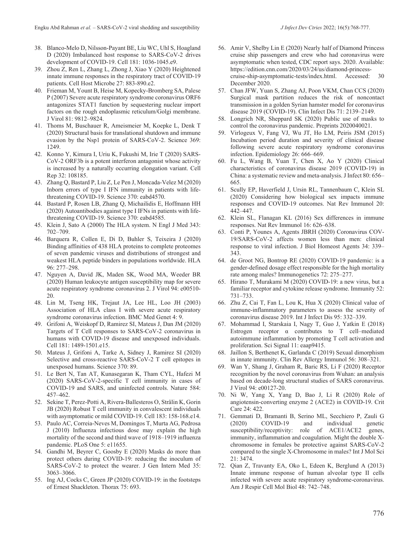- 38. Blanco-Melo D, Nilsson-Payant BE, Liu WC, Uhl S, Hoagland D (2020) Imbalanced host response to SARS-CoV-2 drives development of COVID-19. Cell 181: 1036-1045.e9.
- 39. Zhou Z, Ren L, Zhang L, Zhong J, Xiao Y (2020) Heightened innate immune responses in the respiratory tract of COVID-19 patients. Cell Host Microbe 27: 883-890.e2.
- 40. Frieman M, Yount B, Heise M, Kopecky-Bromberg SA, Palese P (2007) Severe acute respiratory syndrome coronavirus ORF6 antagonizes STAT1 function by sequestering nuclear import factors on the rough endoplasmic reticulum/Golgi membrane. J Virol 81: 9812–9824.
- 41. Thoms M, Buschauer R, Ameismeier M, Koepke L, Denk T (2020) Structural basis for translational shutdown and immune evasion by the Nsp1 protein of SARS-CoV-2. Science 369: 1249.
- 42. Konno Y, Kimura I, Uriu K, Fukushi M, Irie T (2020) SARS-CoV-2 ORF3b is a potent interferon antagonist whose activity is increased by a naturally occurring elongation variant. Cell Rep 32: 108185.
- 43. Zhang Q, Bastard P, Liu Z, Le Pen J, Moncada-Velez M (2020) Inborn errors of type I IFN immunity in patients with lifethreatening COVID-19. Science 370: eabd4570.
- 44. Bastard P, Rosen LB, Zhang Q, Michailidis E, Hoffmann HH (2020) Autoantibodies against type I IFNs in patients with lifethreatening COVID-19. Science 370: eabd4585.
- 45. Klein J, Sato A (2000) The HLA system. N Engl J Med 343: 702–709.
- 46. Barquera R, Collen E, Di D, Buhler S, Teixeira J (2020) Binding affinities of 438 HLA proteins to complete proteomes of seven pandemic viruses and distributions of strongest and weakest HLA peptide binders in populations worldwide. HLA 96: 277–298.
- 47. Nguyen A, David JK, Maden SK, Wood MA, Weeder BR (2020) Human leukocyte antigen susceptibility map for severe acute respiratory syndrome coronavirus 2. J Virol 94: e00510- 20.
- 48. Lin M, Tseng HK, Trejaut JA, Lee HL, Loo JH (2003) Association of HLA class I with severe acute respiratory syndrome coronavirus infection. BMC Med Genet 4: 9.
- 49. Grifoni A, Weiskopf D, Ramirez SI, Mateus J, Dan JM (2020) Targets of T Cell responses to SARS-CoV-2 coronavirus in humans with COVID-19 disease and unexposed individuals. Cell 181: 1489-1501.e15.
- 50. Mateus J, Grifoni A, Tarke A, Sidney J, Ramirez SI (2020) Selective and cross-reactive SARS-CoV-2 T cell epitopes in unexposed humans. Science 370: 89.
- 51. Le Bert N, Tan AT, Kunasegaran K, Tham CYL, Hafezi M (2020) SARS-CoV-2-specific T cell immunity in cases of COVID-19 and SARS, and uninfected controls. Nature 584: 457–462.
- 52. Sekine T, Perez-Potti A, Rivera-Ballesteros O, Strålin K, Gorin JB (2020) Robust T cell immunity in convalescent individuals with asymptomatic or mild COVID-19. Cell 183: 158-168.e14.
- 53. Paulo AC, Correia-Neves M, Domingos T, Murta AG, Pedrosa J (2010) Influenza infectious dose may explain the high mortality of the second and third wave of 1918–1919 influenza pandemic. PLoS One 5: e11655.
- 54. Gandhi M, Beyrer C, Goosby E (2020) Masks do more than protect others during COVID-19: reducing the inoculum of SARS-CoV-2 to protect the wearer. J Gen Intern Med 35: 3063–3066.
- 55. Ing AJ, Cocks C, Green JP (2020) COVID-19: in the footsteps of Ernest Shackleton. Thorax 75: 693.
- 56. Amir V, Shelby Lin E (2020) Nearly half of Diamond Princess cruise ship passengers and crew who had coronavirus were asymptomatic when tested, CDC report says. 2020. Available: https://edition.cnn.com/2020/03/24/us/diamond-princesscruise-ship-asymptomatic-tests/index.html. Accessed: 30 December 2020.
- 57. Chan JFW, Yuan S, Zhang AJ, Poon VKM, Chan CCS (2020) Surgical mask partition reduces the risk of noncontact transmission in a golden Syrian hamster model for coronavirus disease 2019 (COVID-19). Clin Infect Dis 71: 2139–2149.
- 58. Longrich NR, Sheppard SK (2020) Public use of masks to control the coronavirus pandemic. Preprints 2020040021.
- 59. Virlogeux V, Fang VJ, Wu JT, Ho LM, Peiris JSM (2015) Incubation period duration and severity of clinical disease following severe acute respiratory syndrome coronavirus infection. Epidemiology 26: 666–669.
- 60. Fu L, Wang B, Yuan T, Chen X, Ao Y (2020) Clinical characteristics of coronavirus disease 2019 (COVID-19) in China: a systematic review and meta-analysis. J Infect 80: 656– 665.
- 61. Scully EP, Haverfield J, Ursin RL, Tannenbaum C, Klein SL (2020) Considering how biological sex impacts immune responses and COVID-19 outcomes. Nat Rev Immunol 20: 442–447.
- 62. Klein SL, Flanagan KL (2016) Sex differences in immune responses. Nat Rev Immunol 16: 626–638.
- 63. Conti P, Younes A, Agents JBRH (2020) Coronavirus COV-19/SARS-CoV-2 affects women less than men: clinical response to viral infection. J Biol Homeost Agents 34: 339– 343.
- 64. de Groot NG, Bontrop RE (2020) COVID-19 pandemic: is a gender-defined dosage effect responsible for the high mortality rate among males? Immunogenetics 72: 275–277.
- 65. Hirano T, Murakami M (2020) COVID-19: a new virus, but a familiar receptor and cytokine release syndrome. Immunity 52: 731–733.
- 66. Zhu Z, Cai T, Fan L, Lou K, Hua X (2020) Clinical value of immune-inflammatory parameters to assess the severity of coronavirus disease 2019. Int J Infect Dis 95: 332–339.
- 67. Mohammad I, Starskaia I, Nagy T, Guo J, Yatkin E (2018) Estrogen receptor α contributes to T cell–mediated autoimmune inflammation by promoting T cell activation and proliferation. Sci Signal 11: eaap9415.
- 68. Jaillon S, Berthenet K, Garlanda C (2019) Sexual dimorphism in innate immunity. Clin Rev Allergy Immunol 56: 308–321.
- 69. Wan Y, Shang J, Graham R, Baric RS, Li F (2020) Receptor recognition by the novel coronavirus from Wuhan: an analysis based on decade-long structural studies of SARS coronavirus. J Virol 94: e00127-20.
- 70. Ni W, Yang X, Yang D, Bao J, Li R (2020) Role of angiotensin-converting enzyme 2 (ACE2) in COVID-19. Crit Care 24: 422.
- 71. Gemmati D, Bramanti B, Serino ML, Secchiero P, Zauli G (2020) COVID-19 and individual genetic susceptibility/receptivity: role of ACE1/ACE2 genes, immunity, inflammation and coagulation. Might the double Xchromosome in females be protective against SARS-CoV-2 compared to the single X-Chromosome in males? Int J Mol Sci 21: 3474.
- 72. Qian Z, Travanty EA, Oko L, Edeen K, Berglund A (2013) Innate immune response of human alveolar type II cells infected with severe acute respiratory syndrome-coronavirus. Am J Respir Cell Mol Biol 48: 742–748.